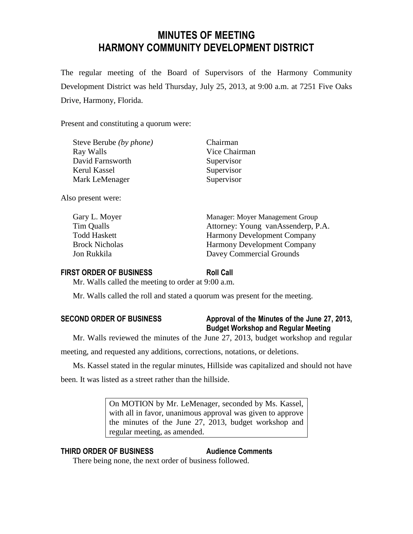# **MINUTES OF MEETING HARMONY COMMUNITY DEVELOPMENT DISTRICT**

The regular meeting of the Board of Supervisors of the Harmony Community Development District was held Thursday, July 25, 2013, at 9:00 a.m. at 7251 Five Oaks Drive, Harmony, Florida.

Present and constituting a quorum were:

| Steve Berube (by phone) |  |
|-------------------------|--|
| Ray Walls               |  |
| David Farnsworth        |  |
| Kerul Kassel            |  |
| Mark LeMenager          |  |

Chairman Vice Chairman Supervisor Supervisor Supervisor

Also present were:

| Gary L. Moyer         | Manager: Moyer Management Group    |
|-----------------------|------------------------------------|
| Tim Qualls            | Attorney: Young vanAssenderp, P.A. |
| <b>Todd Haskett</b>   | <b>Harmony Development Company</b> |
| <b>Brock Nicholas</b> | <b>Harmony Development Company</b> |
| Jon Rukkila           | Davey Commercial Grounds           |

### **FIRST ORDER OF BUSINESS Roll Call**

Mr. Walls called the meeting to order at 9:00 a.m.

Mr. Walls called the roll and stated a quorum was present for the meeting.

# **SECOND ORDER OF BUSINESS Approval of the Minutes of the June 27, 2013, Budget Workshop and Regular Meeting**

Mr. Walls reviewed the minutes of the June 27, 2013, budget workshop and regular

meeting, and requested any additions, corrections, notations, or deletions.

Ms. Kassel stated in the regular minutes, Hillside was capitalized and should not have been. It was listed as a street rather than the hillside.

> On MOTION by Mr. LeMenager, seconded by Ms. Kassel, with all in favor, unanimous approval was given to approve the minutes of the June 27, 2013, budget workshop and regular meeting, as amended.

### **THIRD ORDER OF BUSINESS Audience Comments**

There being none, the next order of business followed.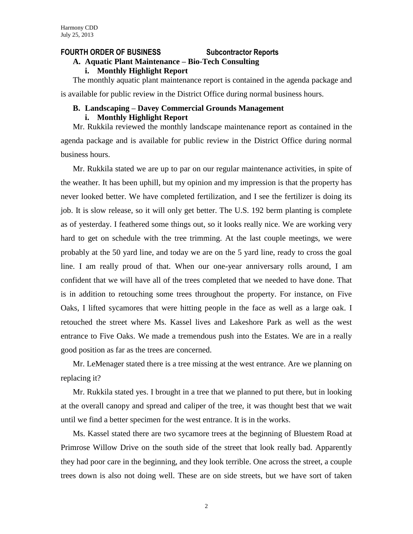#### **FOURTH ORDER OF BUSINESS Subcontractor Reports**

### **A. Aquatic Plant Maintenance – Bio-Tech Consulting**

**i. Monthly Highlight Report**

The monthly aquatic plant maintenance report is contained in the agenda package and is available for public review in the District Office during normal business hours.

### **B. Landscaping – Davey Commercial Grounds Management**

#### **i. Monthly Highlight Report**

Mr. Rukkila reviewed the monthly landscape maintenance report as contained in the agenda package and is available for public review in the District Office during normal business hours.

Mr. Rukkila stated we are up to par on our regular maintenance activities, in spite of the weather. It has been uphill, but my opinion and my impression is that the property has never looked better. We have completed fertilization, and I see the fertilizer is doing its job. It is slow release, so it will only get better. The U.S. 192 berm planting is complete as of yesterday. I feathered some things out, so it looks really nice. We are working very hard to get on schedule with the tree trimming. At the last couple meetings, we were probably at the 50 yard line, and today we are on the 5 yard line, ready to cross the goal line. I am really proud of that. When our one-year anniversary rolls around, I am confident that we will have all of the trees completed that we needed to have done. That is in addition to retouching some trees throughout the property. For instance, on Five Oaks, I lifted sycamores that were hitting people in the face as well as a large oak. I retouched the street where Ms. Kassel lives and Lakeshore Park as well as the west entrance to Five Oaks. We made a tremendous push into the Estates. We are in a really good position as far as the trees are concerned.

Mr. LeMenager stated there is a tree missing at the west entrance. Are we planning on replacing it?

Mr. Rukkila stated yes. I brought in a tree that we planned to put there, but in looking at the overall canopy and spread and caliper of the tree, it was thought best that we wait until we find a better specimen for the west entrance. It is in the works.

Ms. Kassel stated there are two sycamore trees at the beginning of Bluestem Road at Primrose Willow Drive on the south side of the street that look really bad. Apparently they had poor care in the beginning, and they look terrible. One across the street, a couple trees down is also not doing well. These are on side streets, but we have sort of taken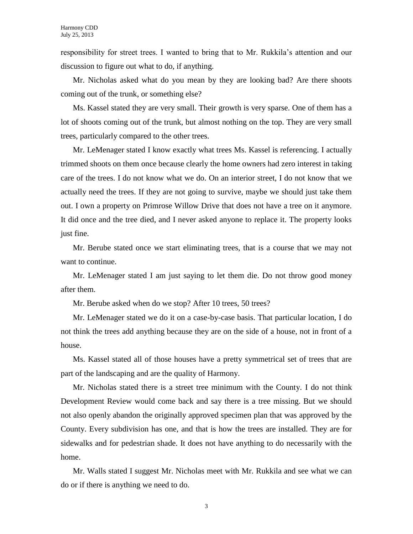responsibility for street trees. I wanted to bring that to Mr. Rukkila's attention and our discussion to figure out what to do, if anything.

Mr. Nicholas asked what do you mean by they are looking bad? Are there shoots coming out of the trunk, or something else?

Ms. Kassel stated they are very small. Their growth is very sparse. One of them has a lot of shoots coming out of the trunk, but almost nothing on the top. They are very small trees, particularly compared to the other trees.

Mr. LeMenager stated I know exactly what trees Ms. Kassel is referencing. I actually trimmed shoots on them once because clearly the home owners had zero interest in taking care of the trees. I do not know what we do. On an interior street, I do not know that we actually need the trees. If they are not going to survive, maybe we should just take them out. I own a property on Primrose Willow Drive that does not have a tree on it anymore. It did once and the tree died, and I never asked anyone to replace it. The property looks just fine.

Mr. Berube stated once we start eliminating trees, that is a course that we may not want to continue.

Mr. LeMenager stated I am just saying to let them die. Do not throw good money after them.

Mr. Berube asked when do we stop? After 10 trees, 50 trees?

Mr. LeMenager stated we do it on a case-by-case basis. That particular location, I do not think the trees add anything because they are on the side of a house, not in front of a house.

Ms. Kassel stated all of those houses have a pretty symmetrical set of trees that are part of the landscaping and are the quality of Harmony.

Mr. Nicholas stated there is a street tree minimum with the County. I do not think Development Review would come back and say there is a tree missing. But we should not also openly abandon the originally approved specimen plan that was approved by the County. Every subdivision has one, and that is how the trees are installed. They are for sidewalks and for pedestrian shade. It does not have anything to do necessarily with the home.

Mr. Walls stated I suggest Mr. Nicholas meet with Mr. Rukkila and see what we can do or if there is anything we need to do.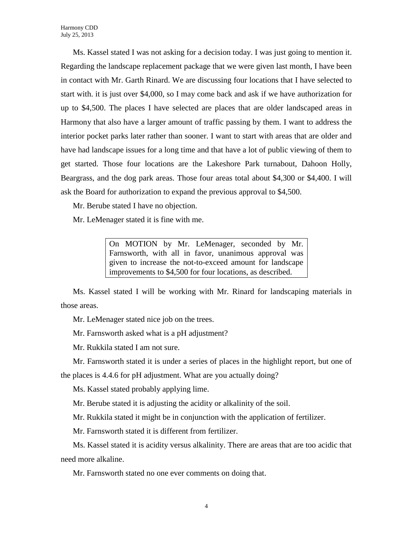Ms. Kassel stated I was not asking for a decision today. I was just going to mention it. Regarding the landscape replacement package that we were given last month, I have been in contact with Mr. Garth Rinard. We are discussing four locations that I have selected to start with. it is just over \$4,000, so I may come back and ask if we have authorization for up to \$4,500. The places I have selected are places that are older landscaped areas in Harmony that also have a larger amount of traffic passing by them. I want to address the interior pocket parks later rather than sooner. I want to start with areas that are older and have had landscape issues for a long time and that have a lot of public viewing of them to get started. Those four locations are the Lakeshore Park turnabout, Dahoon Holly, Beargrass, and the dog park areas. Those four areas total about \$4,300 or \$4,400. I will ask the Board for authorization to expand the previous approval to \$4,500.

Mr. Berube stated I have no objection.

Mr. LeMenager stated it is fine with me.

On MOTION by Mr. LeMenager, seconded by Mr. Farnsworth, with all in favor, unanimous approval was given to increase the not-to-exceed amount for landscape improvements to \$4,500 for four locations, as described.

Ms. Kassel stated I will be working with Mr. Rinard for landscaping materials in those areas.

Mr. LeMenager stated nice job on the trees.

Mr. Farnsworth asked what is a pH adjustment?

Mr. Rukkila stated I am not sure.

Mr. Farnsworth stated it is under a series of places in the highlight report, but one of the places is 4.4.6 for pH adjustment. What are you actually doing?

Ms. Kassel stated probably applying lime.

Mr. Berube stated it is adjusting the acidity or alkalinity of the soil.

Mr. Rukkila stated it might be in conjunction with the application of fertilizer.

Mr. Farnsworth stated it is different from fertilizer.

Ms. Kassel stated it is acidity versus alkalinity. There are areas that are too acidic that need more alkaline.

Mr. Farnsworth stated no one ever comments on doing that.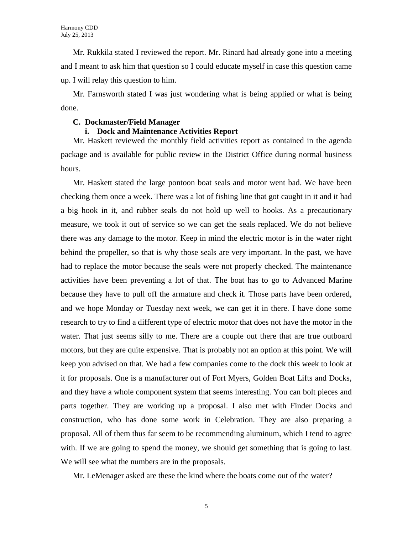Mr. Rukkila stated I reviewed the report. Mr. Rinard had already gone into a meeting and I meant to ask him that question so I could educate myself in case this question came up. I will relay this question to him.

Mr. Farnsworth stated I was just wondering what is being applied or what is being done.

#### **C. Dockmaster/Field Manager**

#### **i. Dock and Maintenance Activities Report**

Mr. Haskett reviewed the monthly field activities report as contained in the agenda package and is available for public review in the District Office during normal business hours.

Mr. Haskett stated the large pontoon boat seals and motor went bad. We have been checking them once a week. There was a lot of fishing line that got caught in it and it had a big hook in it, and rubber seals do not hold up well to hooks. As a precautionary measure, we took it out of service so we can get the seals replaced. We do not believe there was any damage to the motor. Keep in mind the electric motor is in the water right behind the propeller, so that is why those seals are very important. In the past, we have had to replace the motor because the seals were not properly checked. The maintenance activities have been preventing a lot of that. The boat has to go to Advanced Marine because they have to pull off the armature and check it. Those parts have been ordered, and we hope Monday or Tuesday next week, we can get it in there. I have done some research to try to find a different type of electric motor that does not have the motor in the water. That just seems silly to me. There are a couple out there that are true outboard motors, but they are quite expensive. That is probably not an option at this point. We will keep you advised on that. We had a few companies come to the dock this week to look at it for proposals. One is a manufacturer out of Fort Myers, Golden Boat Lifts and Docks, and they have a whole component system that seems interesting. You can bolt pieces and parts together. They are working up a proposal. I also met with Finder Docks and construction, who has done some work in Celebration. They are also preparing a proposal. All of them thus far seem to be recommending aluminum, which I tend to agree with. If we are going to spend the money, we should get something that is going to last. We will see what the numbers are in the proposals.

Mr. LeMenager asked are these the kind where the boats come out of the water?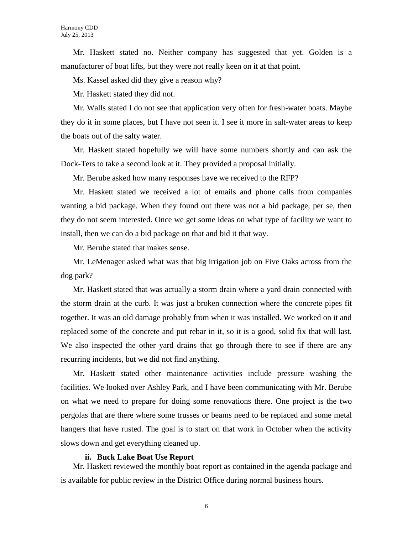Mr. Haskett stated no. Neither company has suggested that yet. Golden is a manufacturer of boat lifts, but they were not really keen on it at that point.

Ms. Kassel asked did they give a reason why?

Mr. Haskett stated they did not.

Mr. Walls stated I do not see that application very often for fresh-water boats. Maybe they do it in some places, but I have not seen it. I see it more in salt-water areas to keep the boats out of the salty water.

Mr. Haskett stated hopefully we will have some numbers shortly and can ask the Dock-Ters to take a second look at it. They provided a proposal initially.

Mr. Berube asked how many responses have we received to the RFP?

Mr. Haskett stated we received a lot of emails and phone calls from companies wanting a bid package. When they found out there was not a bid package, per se, then they do not seem interested. Once we get some ideas on what type of facility we want to install, then we can do a bid package on that and bid it that way.

Mr. Berube stated that makes sense.

Mr. LeMenager asked what was that big irrigation job on Five Oaks across from the dog park?

Mr. Haskett stated that was actually a storm drain where a yard drain connected with the storm drain at the curb. It was just a broken connection where the concrete pipes fit together. It was an old damage probably from when it was installed. We worked on it and replaced some of the concrete and put rebar in it, so it is a good, solid fix that will last. We also inspected the other yard drains that go through there to see if there are any recurring incidents, but we did not find anything.

Mr. Haskett stated other maintenance activities include pressure washing the facilities. We looked over Ashley Park, and I have been communicating with Mr. Berube on what we need to prepare for doing some renovations there. One project is the two pergolas that are there where some trusses or beams need to be replaced and some metal hangers that have rusted. The goal is to start on that work in October when the activity slows down and get everything cleaned up.

#### **ii. Buck Lake Boat Use Report**

Mr. Haskett reviewed the monthly boat report as contained in the agenda package and is available for public review in the District Office during normal business hours.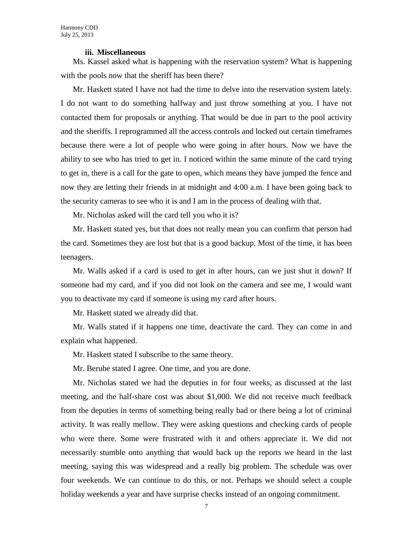#### **iii. Miscellaneous**

Ms. Kassel asked what is happening with the reservation system? What is happening with the pools now that the sheriff has been there?

Mr. Haskett stated I have not had the time to delve into the reservation system lately. I do not want to do something halfway and just throw something at you. I have not contacted them for proposals or anything. That would be due in part to the pool activity and the sheriffs. I reprogrammed all the access controls and locked out certain timeframes because there were a lot of people who were going in after hours. Now we have the ability to see who has tried to get in. I noticed within the same minute of the card trying to get in, there is a call for the gate to open, which means they have jumped the fence and now they are letting their friends in at midnight and 4:00 a.m. I have been going back to the security cameras to see who it is and I am in the process of dealing with that.

Mr. Nicholas asked will the card tell you who it is?

Mr. Haskett stated yes, but that does not really mean you can confirm that person had the card. Sometimes they are lost but that is a good backup. Most of the time, it has been teenagers.

Mr. Walls asked if a card is used to get in after hours, can we just shut it down? If someone had my card, and if you did not look on the camera and see me, I would want you to deactivate my card if someone is using my card after hours.

Mr. Haskett stated we already did that.

Mr. Walls stated if it happens one time, deactivate the card. They can come in and explain what happened.

Mr. Haskett stated I subscribe to the same theory.

Mr. Berube stated I agree. One time, and you are done.

Mr. Nicholas stated we had the deputies in for four weeks, as discussed at the last meeting, and the half-share cost was about \$1,000. We did not receive much feedback from the deputies in terms of something being really bad or there being a lot of criminal activity. It was really mellow. They were asking questions and checking cards of people who were there. Some were frustrated with it and others appreciate it. We did not necessarily stumble onto anything that would back up the reports we heard in the last meeting, saying this was widespread and a really big problem. The schedule was over four weekends. We can continue to do this, or not. Perhaps we should select a couple holiday weekends a year and have surprise checks instead of an ongoing commitment.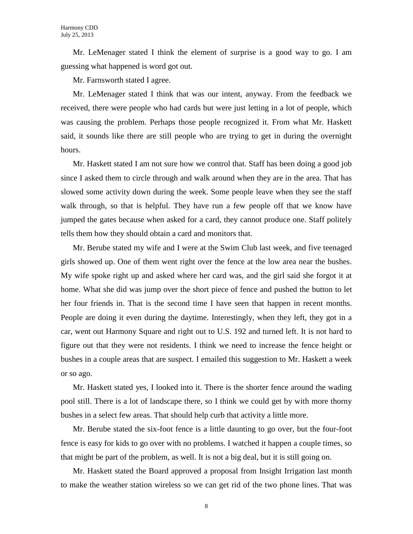Mr. LeMenager stated I think the element of surprise is a good way to go. I am guessing what happened is word got out.

Mr. Farnsworth stated I agree.

Mr. LeMenager stated I think that was our intent, anyway. From the feedback we received, there were people who had cards but were just letting in a lot of people, which was causing the problem. Perhaps those people recognized it. From what Mr. Haskett said, it sounds like there are still people who are trying to get in during the overnight hours.

Mr. Haskett stated I am not sure how we control that. Staff has been doing a good job since I asked them to circle through and walk around when they are in the area. That has slowed some activity down during the week. Some people leave when they see the staff walk through, so that is helpful. They have run a few people off that we know have jumped the gates because when asked for a card, they cannot produce one. Staff politely tells them how they should obtain a card and monitors that.

Mr. Berube stated my wife and I were at the Swim Club last week, and five teenaged girls showed up. One of them went right over the fence at the low area near the bushes. My wife spoke right up and asked where her card was, and the girl said she forgot it at home. What she did was jump over the short piece of fence and pushed the button to let her four friends in. That is the second time I have seen that happen in recent months. People are doing it even during the daytime. Interestingly, when they left, they got in a car, went out Harmony Square and right out to U.S. 192 and turned left. It is not hard to figure out that they were not residents. I think we need to increase the fence height or bushes in a couple areas that are suspect. I emailed this suggestion to Mr. Haskett a week or so ago.

Mr. Haskett stated yes, I looked into it. There is the shorter fence around the wading pool still. There is a lot of landscape there, so I think we could get by with more thorny bushes in a select few areas. That should help curb that activity a little more.

Mr. Berube stated the six-foot fence is a little daunting to go over, but the four-foot fence is easy for kids to go over with no problems. I watched it happen a couple times, so that might be part of the problem, as well. It is not a big deal, but it is still going on.

Mr. Haskett stated the Board approved a proposal from Insight Irrigation last month to make the weather station wireless so we can get rid of the two phone lines. That was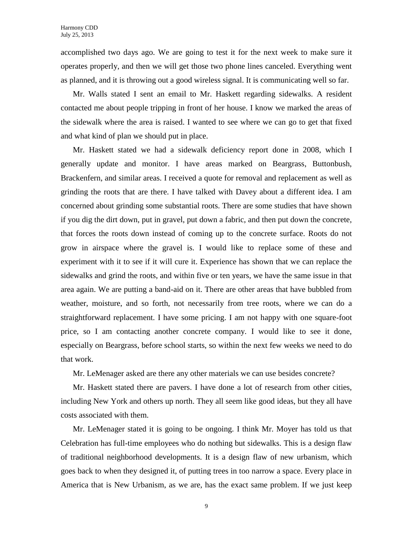accomplished two days ago. We are going to test it for the next week to make sure it operates properly, and then we will get those two phone lines canceled. Everything went as planned, and it is throwing out a good wireless signal. It is communicating well so far.

Mr. Walls stated I sent an email to Mr. Haskett regarding sidewalks. A resident contacted me about people tripping in front of her house. I know we marked the areas of the sidewalk where the area is raised. I wanted to see where we can go to get that fixed and what kind of plan we should put in place.

Mr. Haskett stated we had a sidewalk deficiency report done in 2008, which I generally update and monitor. I have areas marked on Beargrass, Buttonbush, Brackenfern, and similar areas. I received a quote for removal and replacement as well as grinding the roots that are there. I have talked with Davey about a different idea. I am concerned about grinding some substantial roots. There are some studies that have shown if you dig the dirt down, put in gravel, put down a fabric, and then put down the concrete, that forces the roots down instead of coming up to the concrete surface. Roots do not grow in airspace where the gravel is. I would like to replace some of these and experiment with it to see if it will cure it. Experience has shown that we can replace the sidewalks and grind the roots, and within five or ten years, we have the same issue in that area again. We are putting a band-aid on it. There are other areas that have bubbled from weather, moisture, and so forth, not necessarily from tree roots, where we can do a straightforward replacement. I have some pricing. I am not happy with one square-foot price, so I am contacting another concrete company. I would like to see it done, especially on Beargrass, before school starts, so within the next few weeks we need to do that work.

Mr. LeMenager asked are there any other materials we can use besides concrete?

Mr. Haskett stated there are pavers. I have done a lot of research from other cities, including New York and others up north. They all seem like good ideas, but they all have costs associated with them.

Mr. LeMenager stated it is going to be ongoing. I think Mr. Moyer has told us that Celebration has full-time employees who do nothing but sidewalks. This is a design flaw of traditional neighborhood developments. It is a design flaw of new urbanism, which goes back to when they designed it, of putting trees in too narrow a space. Every place in America that is New Urbanism, as we are, has the exact same problem. If we just keep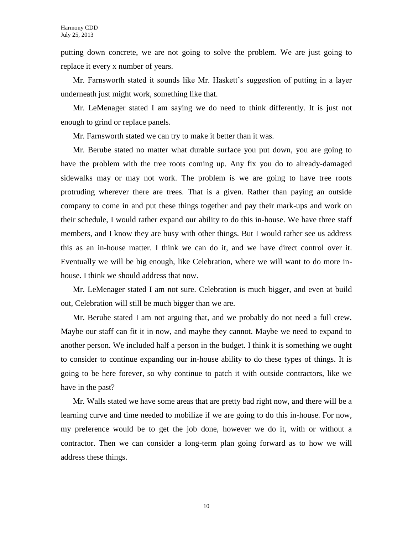putting down concrete, we are not going to solve the problem. We are just going to replace it every x number of years.

Mr. Farnsworth stated it sounds like Mr. Haskett's suggestion of putting in a layer underneath just might work, something like that.

Mr. LeMenager stated I am saying we do need to think differently. It is just not enough to grind or replace panels.

Mr. Farnsworth stated we can try to make it better than it was.

Mr. Berube stated no matter what durable surface you put down, you are going to have the problem with the tree roots coming up. Any fix you do to already-damaged sidewalks may or may not work. The problem is we are going to have tree roots protruding wherever there are trees. That is a given. Rather than paying an outside company to come in and put these things together and pay their mark-ups and work on their schedule, I would rather expand our ability to do this in-house. We have three staff members, and I know they are busy with other things. But I would rather see us address this as an in-house matter. I think we can do it, and we have direct control over it. Eventually we will be big enough, like Celebration, where we will want to do more inhouse. I think we should address that now.

Mr. LeMenager stated I am not sure. Celebration is much bigger, and even at build out, Celebration will still be much bigger than we are.

Mr. Berube stated I am not arguing that, and we probably do not need a full crew. Maybe our staff can fit it in now, and maybe they cannot. Maybe we need to expand to another person. We included half a person in the budget. I think it is something we ought to consider to continue expanding our in-house ability to do these types of things. It is going to be here forever, so why continue to patch it with outside contractors, like we have in the past?

Mr. Walls stated we have some areas that are pretty bad right now, and there will be a learning curve and time needed to mobilize if we are going to do this in-house. For now, my preference would be to get the job done, however we do it, with or without a contractor. Then we can consider a long-term plan going forward as to how we will address these things.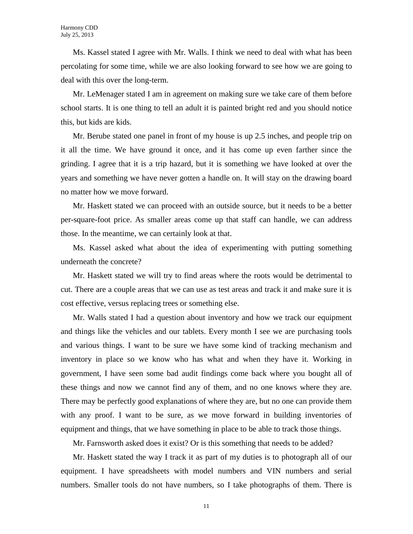Ms. Kassel stated I agree with Mr. Walls. I think we need to deal with what has been percolating for some time, while we are also looking forward to see how we are going to deal with this over the long-term.

Mr. LeMenager stated I am in agreement on making sure we take care of them before school starts. It is one thing to tell an adult it is painted bright red and you should notice this, but kids are kids.

Mr. Berube stated one panel in front of my house is up 2.5 inches, and people trip on it all the time. We have ground it once, and it has come up even farther since the grinding. I agree that it is a trip hazard, but it is something we have looked at over the years and something we have never gotten a handle on. It will stay on the drawing board no matter how we move forward.

Mr. Haskett stated we can proceed with an outside source, but it needs to be a better per-square-foot price. As smaller areas come up that staff can handle, we can address those. In the meantime, we can certainly look at that.

Ms. Kassel asked what about the idea of experimenting with putting something underneath the concrete?

Mr. Haskett stated we will try to find areas where the roots would be detrimental to cut. There are a couple areas that we can use as test areas and track it and make sure it is cost effective, versus replacing trees or something else.

Mr. Walls stated I had a question about inventory and how we track our equipment and things like the vehicles and our tablets. Every month I see we are purchasing tools and various things. I want to be sure we have some kind of tracking mechanism and inventory in place so we know who has what and when they have it. Working in government, I have seen some bad audit findings come back where you bought all of these things and now we cannot find any of them, and no one knows where they are. There may be perfectly good explanations of where they are, but no one can provide them with any proof. I want to be sure, as we move forward in building inventories of equipment and things, that we have something in place to be able to track those things.

Mr. Farnsworth asked does it exist? Or is this something that needs to be added?

Mr. Haskett stated the way I track it as part of my duties is to photograph all of our equipment. I have spreadsheets with model numbers and VIN numbers and serial numbers. Smaller tools do not have numbers, so I take photographs of them. There is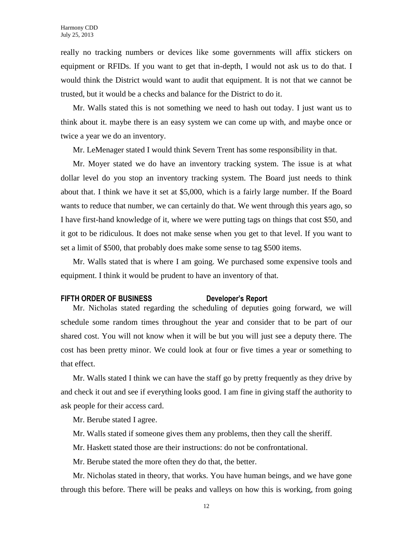really no tracking numbers or devices like some governments will affix stickers on equipment or RFIDs. If you want to get that in-depth, I would not ask us to do that. I would think the District would want to audit that equipment. It is not that we cannot be trusted, but it would be a checks and balance for the District to do it.

Mr. Walls stated this is not something we need to hash out today. I just want us to think about it. maybe there is an easy system we can come up with, and maybe once or twice a year we do an inventory.

Mr. LeMenager stated I would think Severn Trent has some responsibility in that.

Mr. Moyer stated we do have an inventory tracking system. The issue is at what dollar level do you stop an inventory tracking system. The Board just needs to think about that. I think we have it set at \$5,000, which is a fairly large number. If the Board wants to reduce that number, we can certainly do that. We went through this years ago, so I have first-hand knowledge of it, where we were putting tags on things that cost \$50, and it got to be ridiculous. It does not make sense when you get to that level. If you want to set a limit of \$500, that probably does make some sense to tag \$500 items.

Mr. Walls stated that is where I am going. We purchased some expensive tools and equipment. I think it would be prudent to have an inventory of that.

#### **FIFTH ORDER OF BUSINESS Developer's Report**

Mr. Nicholas stated regarding the scheduling of deputies going forward, we will schedule some random times throughout the year and consider that to be part of our shared cost. You will not know when it will be but you will just see a deputy there. The cost has been pretty minor. We could look at four or five times a year or something to that effect.

Mr. Walls stated I think we can have the staff go by pretty frequently as they drive by and check it out and see if everything looks good. I am fine in giving staff the authority to ask people for their access card.

Mr. Berube stated I agree.

Mr. Walls stated if someone gives them any problems, then they call the sheriff.

Mr. Haskett stated those are their instructions: do not be confrontational.

Mr. Berube stated the more often they do that, the better.

Mr. Nicholas stated in theory, that works. You have human beings, and we have gone through this before. There will be peaks and valleys on how this is working, from going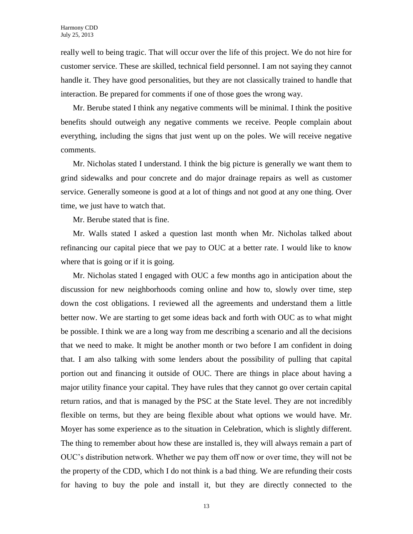really well to being tragic. That will occur over the life of this project. We do not hire for customer service. These are skilled, technical field personnel. I am not saying they cannot handle it. They have good personalities, but they are not classically trained to handle that interaction. Be prepared for comments if one of those goes the wrong way.

Mr. Berube stated I think any negative comments will be minimal. I think the positive benefits should outweigh any negative comments we receive. People complain about everything, including the signs that just went up on the poles. We will receive negative comments.

Mr. Nicholas stated I understand. I think the big picture is generally we want them to grind sidewalks and pour concrete and do major drainage repairs as well as customer service. Generally someone is good at a lot of things and not good at any one thing. Over time, we just have to watch that.

Mr. Berube stated that is fine.

Mr. Walls stated I asked a question last month when Mr. Nicholas talked about refinancing our capital piece that we pay to OUC at a better rate. I would like to know where that is going or if it is going.

Mr. Nicholas stated I engaged with OUC a few months ago in anticipation about the discussion for new neighborhoods coming online and how to, slowly over time, step down the cost obligations. I reviewed all the agreements and understand them a little better now. We are starting to get some ideas back and forth with OUC as to what might be possible. I think we are a long way from me describing a scenario and all the decisions that we need to make. It might be another month or two before I am confident in doing that. I am also talking with some lenders about the possibility of pulling that capital portion out and financing it outside of OUC. There are things in place about having a major utility finance your capital. They have rules that they cannot go over certain capital return ratios, and that is managed by the PSC at the State level. They are not incredibly flexible on terms, but they are being flexible about what options we would have. Mr. Moyer has some experience as to the situation in Celebration, which is slightly different. The thing to remember about how these are installed is, they will always remain a part of OUC's distribution network. Whether we pay them off now or over time, they will not be the property of the CDD, which I do not think is a bad thing. We are refunding their costs for having to buy the pole and install it, but they are directly connected to the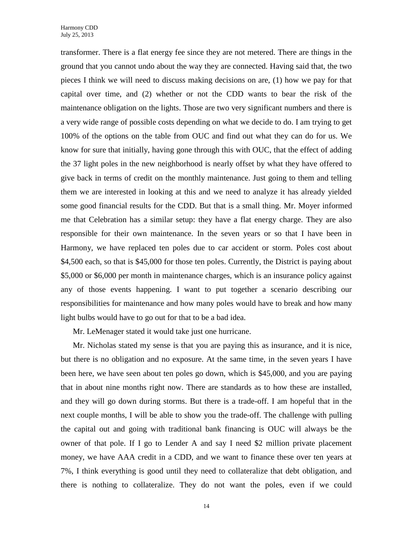transformer. There is a flat energy fee since they are not metered. There are things in the ground that you cannot undo about the way they are connected. Having said that, the two pieces I think we will need to discuss making decisions on are, (1) how we pay for that capital over time, and (2) whether or not the CDD wants to bear the risk of the maintenance obligation on the lights. Those are two very significant numbers and there is a very wide range of possible costs depending on what we decide to do. I am trying to get 100% of the options on the table from OUC and find out what they can do for us. We know for sure that initially, having gone through this with OUC, that the effect of adding the 37 light poles in the new neighborhood is nearly offset by what they have offered to give back in terms of credit on the monthly maintenance. Just going to them and telling them we are interested in looking at this and we need to analyze it has already yielded some good financial results for the CDD. But that is a small thing. Mr. Moyer informed me that Celebration has a similar setup: they have a flat energy charge. They are also responsible for their own maintenance. In the seven years or so that I have been in Harmony, we have replaced ten poles due to car accident or storm. Poles cost about \$4,500 each, so that is \$45,000 for those ten poles. Currently, the District is paying about \$5,000 or \$6,000 per month in maintenance charges, which is an insurance policy against any of those events happening. I want to put together a scenario describing our responsibilities for maintenance and how many poles would have to break and how many light bulbs would have to go out for that to be a bad idea.

Mr. LeMenager stated it would take just one hurricane.

Mr. Nicholas stated my sense is that you are paying this as insurance, and it is nice, but there is no obligation and no exposure. At the same time, in the seven years I have been here, we have seen about ten poles go down, which is \$45,000, and you are paying that in about nine months right now. There are standards as to how these are installed, and they will go down during storms. But there is a trade-off. I am hopeful that in the next couple months, I will be able to show you the trade-off. The challenge with pulling the capital out and going with traditional bank financing is OUC will always be the owner of that pole. If I go to Lender A and say I need \$2 million private placement money, we have AAA credit in a CDD, and we want to finance these over ten years at 7%, I think everything is good until they need to collateralize that debt obligation, and there is nothing to collateralize. They do not want the poles, even if we could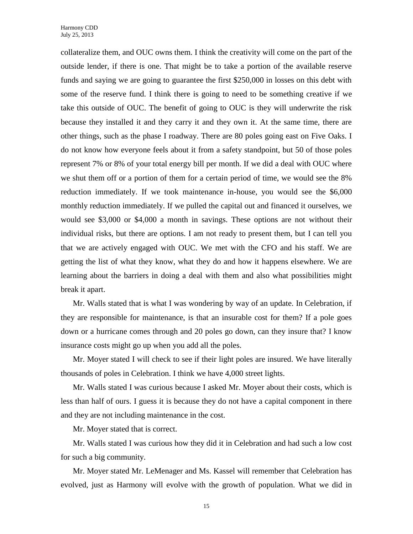collateralize them, and OUC owns them. I think the creativity will come on the part of the outside lender, if there is one. That might be to take a portion of the available reserve funds and saying we are going to guarantee the first \$250,000 in losses on this debt with some of the reserve fund. I think there is going to need to be something creative if we take this outside of OUC. The benefit of going to OUC is they will underwrite the risk because they installed it and they carry it and they own it. At the same time, there are other things, such as the phase I roadway. There are 80 poles going east on Five Oaks. I do not know how everyone feels about it from a safety standpoint, but 50 of those poles represent 7% or 8% of your total energy bill per month. If we did a deal with OUC where we shut them off or a portion of them for a certain period of time, we would see the 8% reduction immediately. If we took maintenance in-house, you would see the \$6,000 monthly reduction immediately. If we pulled the capital out and financed it ourselves, we would see \$3,000 or \$4,000 a month in savings. These options are not without their individual risks, but there are options. I am not ready to present them, but I can tell you that we are actively engaged with OUC. We met with the CFO and his staff. We are getting the list of what they know, what they do and how it happens elsewhere. We are learning about the barriers in doing a deal with them and also what possibilities might break it apart.

Mr. Walls stated that is what I was wondering by way of an update. In Celebration, if they are responsible for maintenance, is that an insurable cost for them? If a pole goes down or a hurricane comes through and 20 poles go down, can they insure that? I know insurance costs might go up when you add all the poles.

Mr. Moyer stated I will check to see if their light poles are insured. We have literally thousands of poles in Celebration. I think we have 4,000 street lights.

Mr. Walls stated I was curious because I asked Mr. Moyer about their costs, which is less than half of ours. I guess it is because they do not have a capital component in there and they are not including maintenance in the cost.

Mr. Moyer stated that is correct.

Mr. Walls stated I was curious how they did it in Celebration and had such a low cost for such a big community.

Mr. Moyer stated Mr. LeMenager and Ms. Kassel will remember that Celebration has evolved, just as Harmony will evolve with the growth of population. What we did in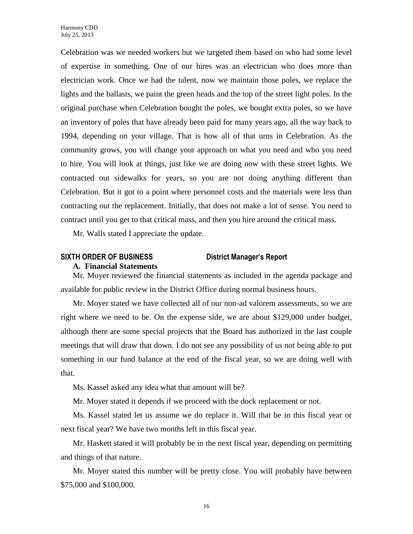Celebration was we needed workers but we targeted them based on who had some level of expertise in something. One of our hires was an electrician who does more than electrician work. Once we had the talent, now we maintain those poles, we replace the lights and the ballasts, we paint the green heads and the top of the street light poles. In the original purchase when Celebration bought the poles, we bought extra poles, so we have an inventory of poles that have already been paid for many years ago, all the way back to 1994, depending on your village. That is how all of that urns in Celebration. As the community grows, you will change your approach on what you need and who you need to hire. You will look at things, just like we are doing now with these street lights. We contracted out sidewalks for years, so you are not doing anything different than Celebration. But it got to a point where personnel costs and the materials were less than contracting out the replacement. Initially, that does not make a lot of sense. You need to contract until you get to that critical mass, and then you hire around the critical mass.

Mr. Walls stated I appreciate the update.

### **SIXTH ORDER OF BUSINESS District Manager's Report**

#### **A. Financial Statements**

Mr. Moyer reviewed the financial statements as included in the agenda package and available for public review in the District Office during normal business hours.

Mr. Moyer stated we have collected all of our non-ad valorem assessments, so we are right where we need to be. On the expense side, we are about \$129,000 under budget, although there are some special projects that the Board has authorized in the last couple meetings that will draw that down. I do not see any possibility of us not being able to put something in our fund balance at the end of the fiscal year, so we are doing well with that.

Ms. Kassel asked any idea what that amount will be?

Mr. Moyer stated it depends if we proceed with the dock replacement or not.

Ms. Kassel stated let us assume we do replace it. Will that be in this fiscal year or next fiscal year? We have two months left in this fiscal year.

Mr. Haskett stated it will probably be in the next fiscal year, depending on permitting and things of that nature.

Mr. Moyer stated this number will be pretty close. You will probably have between \$75,000 and \$100,000.

16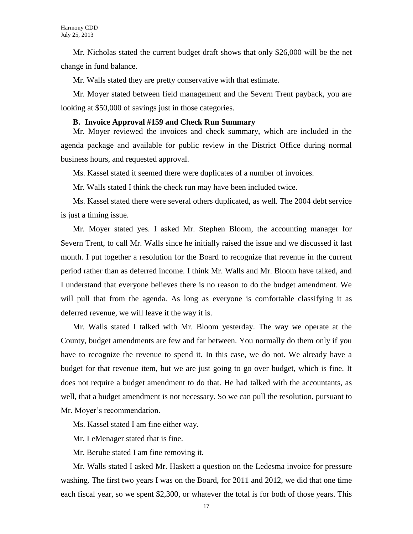Mr. Nicholas stated the current budget draft shows that only \$26,000 will be the net change in fund balance.

Mr. Walls stated they are pretty conservative with that estimate.

Mr. Moyer stated between field management and the Severn Trent payback, you are looking at \$50,000 of savings just in those categories.

#### **B. Invoice Approval #159 and Check Run Summary**

Mr. Moyer reviewed the invoices and check summary, which are included in the agenda package and available for public review in the District Office during normal business hours, and requested approval.

Ms. Kassel stated it seemed there were duplicates of a number of invoices.

Mr. Walls stated I think the check run may have been included twice.

Ms. Kassel stated there were several others duplicated, as well. The 2004 debt service is just a timing issue.

Mr. Moyer stated yes. I asked Mr. Stephen Bloom, the accounting manager for Severn Trent, to call Mr. Walls since he initially raised the issue and we discussed it last month. I put together a resolution for the Board to recognize that revenue in the current period rather than as deferred income. I think Mr. Walls and Mr. Bloom have talked, and I understand that everyone believes there is no reason to do the budget amendment. We will pull that from the agenda. As long as everyone is comfortable classifying it as deferred revenue, we will leave it the way it is.

Mr. Walls stated I talked with Mr. Bloom yesterday. The way we operate at the County, budget amendments are few and far between. You normally do them only if you have to recognize the revenue to spend it. In this case, we do not. We already have a budget for that revenue item, but we are just going to go over budget, which is fine. It does not require a budget amendment to do that. He had talked with the accountants, as well, that a budget amendment is not necessary. So we can pull the resolution, pursuant to Mr. Moyer's recommendation.

Ms. Kassel stated I am fine either way.

Mr. LeMenager stated that is fine.

Mr. Berube stated I am fine removing it.

Mr. Walls stated I asked Mr. Haskett a question on the Ledesma invoice for pressure washing. The first two years I was on the Board, for 2011 and 2012, we did that one time each fiscal year, so we spent \$2,300, or whatever the total is for both of those years. This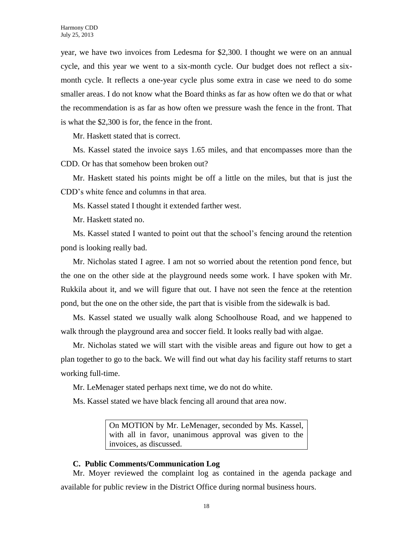year, we have two invoices from Ledesma for \$2,300. I thought we were on an annual cycle, and this year we went to a six-month cycle. Our budget does not reflect a sixmonth cycle. It reflects a one-year cycle plus some extra in case we need to do some smaller areas. I do not know what the Board thinks as far as how often we do that or what the recommendation is as far as how often we pressure wash the fence in the front. That is what the \$2,300 is for, the fence in the front.

Mr. Haskett stated that is correct.

Ms. Kassel stated the invoice says 1.65 miles, and that encompasses more than the CDD. Or has that somehow been broken out?

Mr. Haskett stated his points might be off a little on the miles, but that is just the CDD's white fence and columns in that area.

Ms. Kassel stated I thought it extended farther west.

Mr. Haskett stated no.

Ms. Kassel stated I wanted to point out that the school's fencing around the retention pond is looking really bad.

Mr. Nicholas stated I agree. I am not so worried about the retention pond fence, but the one on the other side at the playground needs some work. I have spoken with Mr. Rukkila about it, and we will figure that out. I have not seen the fence at the retention pond, but the one on the other side, the part that is visible from the sidewalk is bad.

Ms. Kassel stated we usually walk along Schoolhouse Road, and we happened to walk through the playground area and soccer field. It looks really bad with algae.

Mr. Nicholas stated we will start with the visible areas and figure out how to get a plan together to go to the back. We will find out what day his facility staff returns to start working full-time.

Mr. LeMenager stated perhaps next time, we do not do white.

Ms. Kassel stated we have black fencing all around that area now.

On MOTION by Mr. LeMenager, seconded by Ms. Kassel, with all in favor, unanimous approval was given to the invoices, as discussed.

#### **C. Public Comments/Communication Log**

Mr. Moyer reviewed the complaint log as contained in the agenda package and available for public review in the District Office during normal business hours.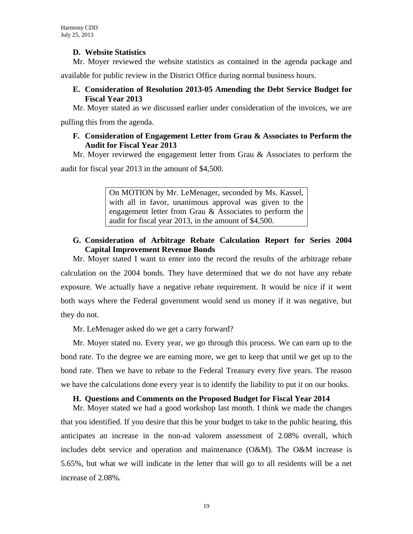# **D. Website Statistics**

Mr. Moyer reviewed the website statistics as contained in the agenda package and

available for public review in the District Office during normal business hours.

# **E. Consideration of Resolution 2013-05 Amending the Debt Service Budget for Fiscal Year 2013**

Mr. Moyer stated as we discussed earlier under consideration of the invoices, we are

pulling this from the agenda.

# **F. Consideration of Engagement Letter from Grau & Associates to Perform the Audit for Fiscal Year 2013**

Mr. Moyer reviewed the engagement letter from Grau  $\&$  Associates to perform the

audit for fiscal year 2013 in the amount of \$4,500.

On MOTION by Mr. LeMenager, seconded by Ms. Kassel, with all in favor, unanimous approval was given to the engagement letter from Grau & Associates to perform the audit for fiscal year 2013, in the amount of \$4,500.

# **G. Consideration of Arbitrage Rebate Calculation Report for Series 2004 Capital Improvement Revenue Bonds**

Mr. Moyer stated I want to enter into the record the results of the arbitrage rebate calculation on the 2004 bonds. They have determined that we do not have any rebate exposure. We actually have a negative rebate requirement. It would be nice if it went both ways where the Federal government would send us money if it was negative, but they do not.

Mr. LeMenager asked do we get a carry forward?

Mr. Moyer stated no. Every year, we go through this process. We can earn up to the bond rate. To the degree we are earning more, we get to keep that until we get up to the bond rate. Then we have to rebate to the Federal Treasury every five years. The reason we have the calculations done every year is to identify the liability to put it on our books.

# **H. Questions and Comments on the Proposed Budget for Fiscal Year 2014**

Mr. Moyer stated we had a good workshop last month. I think we made the changes that you identified. If you desire that this be your budget to take to the public hearing, this anticipates an increase in the non-ad valorem assessment of 2.08% overall, which includes debt service and operation and maintenance (O&M). The O&M increase is 5.65%, but what we will indicate in the letter that will go to all residents will be a net increase of 2.08%.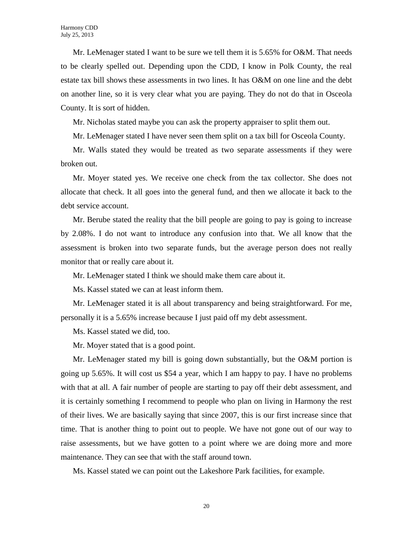Mr. LeMenager stated I want to be sure we tell them it is 5.65% for O&M. That needs to be clearly spelled out. Depending upon the CDD, I know in Polk County, the real estate tax bill shows these assessments in two lines. It has O&M on one line and the debt on another line, so it is very clear what you are paying. They do not do that in Osceola County. It is sort of hidden.

Mr. Nicholas stated maybe you can ask the property appraiser to split them out.

Mr. LeMenager stated I have never seen them split on a tax bill for Osceola County.

Mr. Walls stated they would be treated as two separate assessments if they were broken out.

Mr. Moyer stated yes. We receive one check from the tax collector. She does not allocate that check. It all goes into the general fund, and then we allocate it back to the debt service account.

Mr. Berube stated the reality that the bill people are going to pay is going to increase by 2.08%. I do not want to introduce any confusion into that. We all know that the assessment is broken into two separate funds, but the average person does not really monitor that or really care about it.

Mr. LeMenager stated I think we should make them care about it.

Ms. Kassel stated we can at least inform them.

Mr. LeMenager stated it is all about transparency and being straightforward. For me, personally it is a 5.65% increase because I just paid off my debt assessment.

Ms. Kassel stated we did, too.

Mr. Moyer stated that is a good point.

Mr. LeMenager stated my bill is going down substantially, but the O&M portion is going up 5.65%. It will cost us \$54 a year, which I am happy to pay. I have no problems with that at all. A fair number of people are starting to pay off their debt assessment, and it is certainly something I recommend to people who plan on living in Harmony the rest of their lives. We are basically saying that since 2007, this is our first increase since that time. That is another thing to point out to people. We have not gone out of our way to raise assessments, but we have gotten to a point where we are doing more and more maintenance. They can see that with the staff around town.

Ms. Kassel stated we can point out the Lakeshore Park facilities, for example.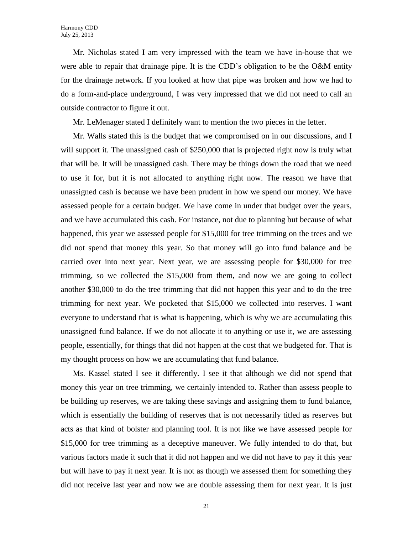Mr. Nicholas stated I am very impressed with the team we have in-house that we were able to repair that drainage pipe. It is the CDD's obligation to be the O&M entity for the drainage network. If you looked at how that pipe was broken and how we had to do a form-and-place underground, I was very impressed that we did not need to call an outside contractor to figure it out.

Mr. LeMenager stated I definitely want to mention the two pieces in the letter.

Mr. Walls stated this is the budget that we compromised on in our discussions, and I will support it. The unassigned cash of \$250,000 that is projected right now is truly what that will be. It will be unassigned cash. There may be things down the road that we need to use it for, but it is not allocated to anything right now. The reason we have that unassigned cash is because we have been prudent in how we spend our money. We have assessed people for a certain budget. We have come in under that budget over the years, and we have accumulated this cash. For instance, not due to planning but because of what happened, this year we assessed people for \$15,000 for tree trimming on the trees and we did not spend that money this year. So that money will go into fund balance and be carried over into next year. Next year, we are assessing people for \$30,000 for tree trimming, so we collected the \$15,000 from them, and now we are going to collect another \$30,000 to do the tree trimming that did not happen this year and to do the tree trimming for next year. We pocketed that \$15,000 we collected into reserves. I want everyone to understand that is what is happening, which is why we are accumulating this unassigned fund balance. If we do not allocate it to anything or use it, we are assessing people, essentially, for things that did not happen at the cost that we budgeted for. That is my thought process on how we are accumulating that fund balance.

Ms. Kassel stated I see it differently. I see it that although we did not spend that money this year on tree trimming, we certainly intended to. Rather than assess people to be building up reserves, we are taking these savings and assigning them to fund balance, which is essentially the building of reserves that is not necessarily titled as reserves but acts as that kind of bolster and planning tool. It is not like we have assessed people for \$15,000 for tree trimming as a deceptive maneuver. We fully intended to do that, but various factors made it such that it did not happen and we did not have to pay it this year but will have to pay it next year. It is not as though we assessed them for something they did not receive last year and now we are double assessing them for next year. It is just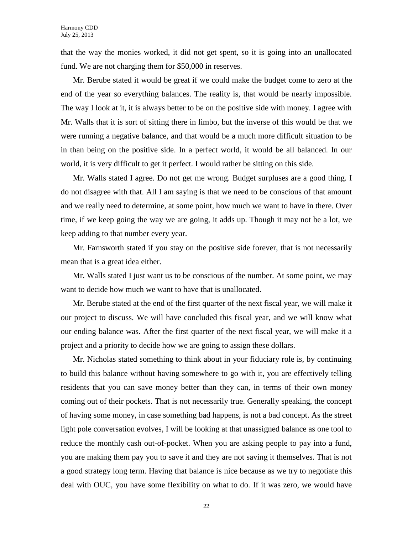that the way the monies worked, it did not get spent, so it is going into an unallocated fund. We are not charging them for \$50,000 in reserves.

Mr. Berube stated it would be great if we could make the budget come to zero at the end of the year so everything balances. The reality is, that would be nearly impossible. The way I look at it, it is always better to be on the positive side with money. I agree with Mr. Walls that it is sort of sitting there in limbo, but the inverse of this would be that we were running a negative balance, and that would be a much more difficult situation to be in than being on the positive side. In a perfect world, it would be all balanced. In our world, it is very difficult to get it perfect. I would rather be sitting on this side.

Mr. Walls stated I agree. Do not get me wrong. Budget surpluses are a good thing. I do not disagree with that. All I am saying is that we need to be conscious of that amount and we really need to determine, at some point, how much we want to have in there. Over time, if we keep going the way we are going, it adds up. Though it may not be a lot, we keep adding to that number every year.

Mr. Farnsworth stated if you stay on the positive side forever, that is not necessarily mean that is a great idea either.

Mr. Walls stated I just want us to be conscious of the number. At some point, we may want to decide how much we want to have that is unallocated.

Mr. Berube stated at the end of the first quarter of the next fiscal year, we will make it our project to discuss. We will have concluded this fiscal year, and we will know what our ending balance was. After the first quarter of the next fiscal year, we will make it a project and a priority to decide how we are going to assign these dollars.

Mr. Nicholas stated something to think about in your fiduciary role is, by continuing to build this balance without having somewhere to go with it, you are effectively telling residents that you can save money better than they can, in terms of their own money coming out of their pockets. That is not necessarily true. Generally speaking, the concept of having some money, in case something bad happens, is not a bad concept. As the street light pole conversation evolves, I will be looking at that unassigned balance as one tool to reduce the monthly cash out-of-pocket. When you are asking people to pay into a fund, you are making them pay you to save it and they are not saving it themselves. That is not a good strategy long term. Having that balance is nice because as we try to negotiate this deal with OUC, you have some flexibility on what to do. If it was zero, we would have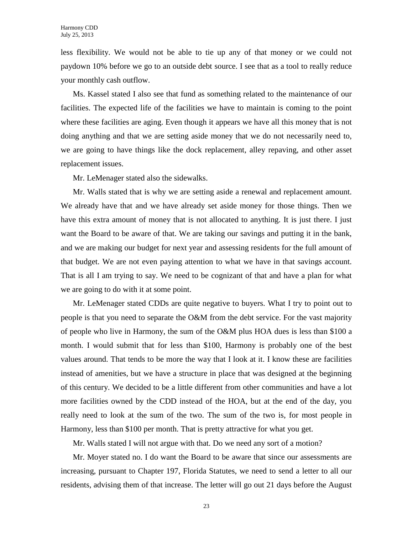less flexibility. We would not be able to tie up any of that money or we could not paydown 10% before we go to an outside debt source. I see that as a tool to really reduce your monthly cash outflow.

Ms. Kassel stated I also see that fund as something related to the maintenance of our facilities. The expected life of the facilities we have to maintain is coming to the point where these facilities are aging. Even though it appears we have all this money that is not doing anything and that we are setting aside money that we do not necessarily need to, we are going to have things like the dock replacement, alley repaving, and other asset replacement issues.

Mr. LeMenager stated also the sidewalks.

Mr. Walls stated that is why we are setting aside a renewal and replacement amount. We already have that and we have already set aside money for those things. Then we have this extra amount of money that is not allocated to anything. It is just there. I just want the Board to be aware of that. We are taking our savings and putting it in the bank, and we are making our budget for next year and assessing residents for the full amount of that budget. We are not even paying attention to what we have in that savings account. That is all I am trying to say. We need to be cognizant of that and have a plan for what we are going to do with it at some point.

Mr. LeMenager stated CDDs are quite negative to buyers. What I try to point out to people is that you need to separate the O&M from the debt service. For the vast majority of people who live in Harmony, the sum of the O&M plus HOA dues is less than \$100 a month. I would submit that for less than \$100, Harmony is probably one of the best values around. That tends to be more the way that I look at it. I know these are facilities instead of amenities, but we have a structure in place that was designed at the beginning of this century. We decided to be a little different from other communities and have a lot more facilities owned by the CDD instead of the HOA, but at the end of the day, you really need to look at the sum of the two. The sum of the two is, for most people in Harmony, less than \$100 per month. That is pretty attractive for what you get.

Mr. Walls stated I will not argue with that. Do we need any sort of a motion?

Mr. Moyer stated no. I do want the Board to be aware that since our assessments are increasing, pursuant to Chapter 197, Florida Statutes, we need to send a letter to all our residents, advising them of that increase. The letter will go out 21 days before the August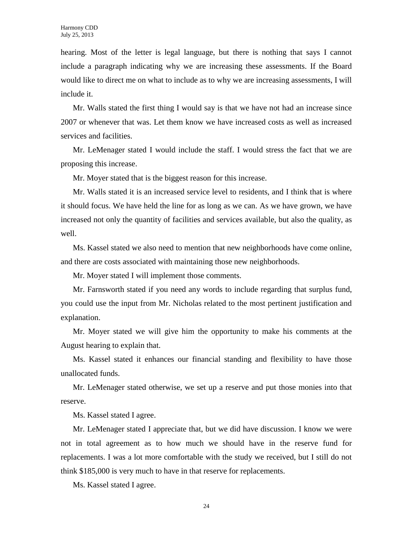hearing. Most of the letter is legal language, but there is nothing that says I cannot include a paragraph indicating why we are increasing these assessments. If the Board would like to direct me on what to include as to why we are increasing assessments, I will include it.

Mr. Walls stated the first thing I would say is that we have not had an increase since 2007 or whenever that was. Let them know we have increased costs as well as increased services and facilities.

Mr. LeMenager stated I would include the staff. I would stress the fact that we are proposing this increase.

Mr. Moyer stated that is the biggest reason for this increase.

Mr. Walls stated it is an increased service level to residents, and I think that is where it should focus. We have held the line for as long as we can. As we have grown, we have increased not only the quantity of facilities and services available, but also the quality, as well.

Ms. Kassel stated we also need to mention that new neighborhoods have come online, and there are costs associated with maintaining those new neighborhoods.

Mr. Moyer stated I will implement those comments.

Mr. Farnsworth stated if you need any words to include regarding that surplus fund, you could use the input from Mr. Nicholas related to the most pertinent justification and explanation.

Mr. Moyer stated we will give him the opportunity to make his comments at the August hearing to explain that.

Ms. Kassel stated it enhances our financial standing and flexibility to have those unallocated funds.

Mr. LeMenager stated otherwise, we set up a reserve and put those monies into that reserve.

Ms. Kassel stated I agree.

Mr. LeMenager stated I appreciate that, but we did have discussion. I know we were not in total agreement as to how much we should have in the reserve fund for replacements. I was a lot more comfortable with the study we received, but I still do not think \$185,000 is very much to have in that reserve for replacements.

Ms. Kassel stated I agree.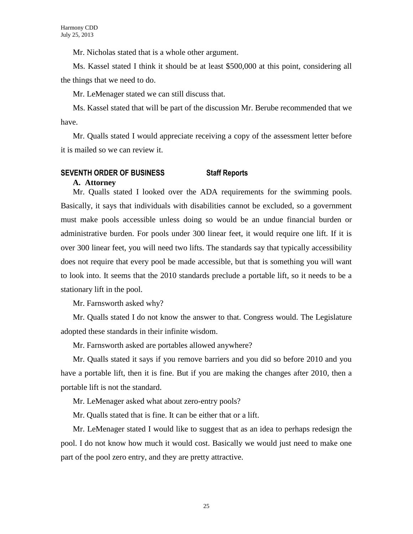Mr. Nicholas stated that is a whole other argument.

Ms. Kassel stated I think it should be at least \$500,000 at this point, considering all the things that we need to do.

Mr. LeMenager stated we can still discuss that.

Ms. Kassel stated that will be part of the discussion Mr. Berube recommended that we have.

Mr. Qualls stated I would appreciate receiving a copy of the assessment letter before it is mailed so we can review it.

#### **SEVENTH ORDER OF BUSINESS Staff Reports A. Attorney**

Mr. Qualls stated I looked over the ADA requirements for the swimming pools. Basically, it says that individuals with disabilities cannot be excluded, so a government must make pools accessible unless doing so would be an undue financial burden or administrative burden. For pools under 300 linear feet, it would require one lift. If it is over 300 linear feet, you will need two lifts. The standards say that typically accessibility does not require that every pool be made accessible, but that is something you will want to look into. It seems that the 2010 standards preclude a portable lift, so it needs to be a stationary lift in the pool.

Mr. Farnsworth asked why?

Mr. Qualls stated I do not know the answer to that. Congress would. The Legislature adopted these standards in their infinite wisdom.

Mr. Farnsworth asked are portables allowed anywhere?

Mr. Qualls stated it says if you remove barriers and you did so before 2010 and you have a portable lift, then it is fine. But if you are making the changes after 2010, then a portable lift is not the standard.

Mr. LeMenager asked what about zero-entry pools?

Mr. Qualls stated that is fine. It can be either that or a lift.

Mr. LeMenager stated I would like to suggest that as an idea to perhaps redesign the pool. I do not know how much it would cost. Basically we would just need to make one part of the pool zero entry, and they are pretty attractive.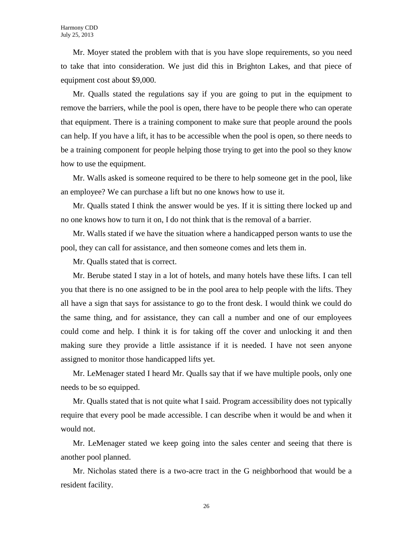Mr. Moyer stated the problem with that is you have slope requirements, so you need to take that into consideration. We just did this in Brighton Lakes, and that piece of equipment cost about \$9,000.

Mr. Qualls stated the regulations say if you are going to put in the equipment to remove the barriers, while the pool is open, there have to be people there who can operate that equipment. There is a training component to make sure that people around the pools can help. If you have a lift, it has to be accessible when the pool is open, so there needs to be a training component for people helping those trying to get into the pool so they know how to use the equipment.

Mr. Walls asked is someone required to be there to help someone get in the pool, like an employee? We can purchase a lift but no one knows how to use it.

Mr. Qualls stated I think the answer would be yes. If it is sitting there locked up and no one knows how to turn it on, I do not think that is the removal of a barrier.

Mr. Walls stated if we have the situation where a handicapped person wants to use the pool, they can call for assistance, and then someone comes and lets them in.

Mr. Qualls stated that is correct.

Mr. Berube stated I stay in a lot of hotels, and many hotels have these lifts. I can tell you that there is no one assigned to be in the pool area to help people with the lifts. They all have a sign that says for assistance to go to the front desk. I would think we could do the same thing, and for assistance, they can call a number and one of our employees could come and help. I think it is for taking off the cover and unlocking it and then making sure they provide a little assistance if it is needed. I have not seen anyone assigned to monitor those handicapped lifts yet.

Mr. LeMenager stated I heard Mr. Qualls say that if we have multiple pools, only one needs to be so equipped.

Mr. Qualls stated that is not quite what I said. Program accessibility does not typically require that every pool be made accessible. I can describe when it would be and when it would not.

Mr. LeMenager stated we keep going into the sales center and seeing that there is another pool planned.

Mr. Nicholas stated there is a two-acre tract in the G neighborhood that would be a resident facility.

26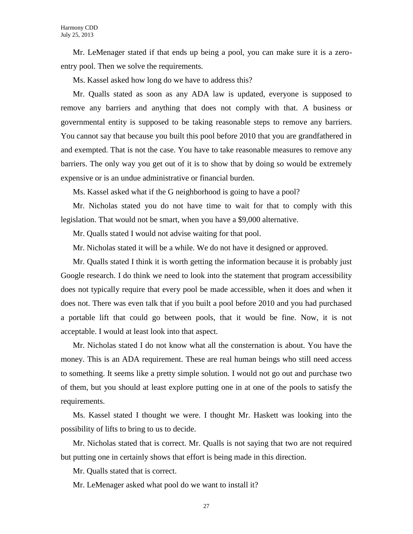Mr. LeMenager stated if that ends up being a pool, you can make sure it is a zeroentry pool. Then we solve the requirements.

Ms. Kassel asked how long do we have to address this?

Mr. Qualls stated as soon as any ADA law is updated, everyone is supposed to remove any barriers and anything that does not comply with that. A business or governmental entity is supposed to be taking reasonable steps to remove any barriers. You cannot say that because you built this pool before 2010 that you are grandfathered in and exempted. That is not the case. You have to take reasonable measures to remove any barriers. The only way you get out of it is to show that by doing so would be extremely expensive or is an undue administrative or financial burden.

Ms. Kassel asked what if the G neighborhood is going to have a pool?

Mr. Nicholas stated you do not have time to wait for that to comply with this legislation. That would not be smart, when you have a \$9,000 alternative.

Mr. Qualls stated I would not advise waiting for that pool.

Mr. Nicholas stated it will be a while. We do not have it designed or approved.

Mr. Qualls stated I think it is worth getting the information because it is probably just Google research. I do think we need to look into the statement that program accessibility does not typically require that every pool be made accessible, when it does and when it does not. There was even talk that if you built a pool before 2010 and you had purchased a portable lift that could go between pools, that it would be fine. Now, it is not acceptable. I would at least look into that aspect.

Mr. Nicholas stated I do not know what all the consternation is about. You have the money. This is an ADA requirement. These are real human beings who still need access to something. It seems like a pretty simple solution. I would not go out and purchase two of them, but you should at least explore putting one in at one of the pools to satisfy the requirements.

Ms. Kassel stated I thought we were. I thought Mr. Haskett was looking into the possibility of lifts to bring to us to decide.

Mr. Nicholas stated that is correct. Mr. Qualls is not saying that two are not required but putting one in certainly shows that effort is being made in this direction.

Mr. Qualls stated that is correct.

Mr. LeMenager asked what pool do we want to install it?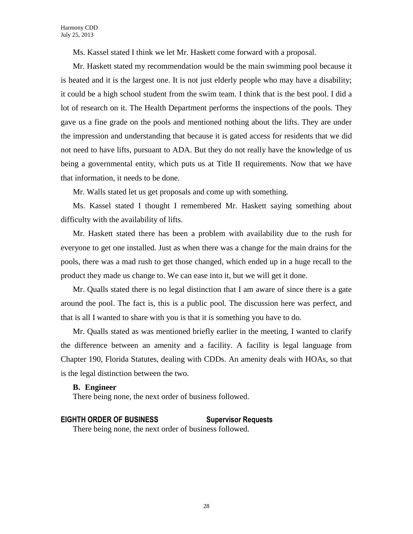Ms. Kassel stated I think we let Mr. Haskett come forward with a proposal.

Mr. Haskett stated my recommendation would be the main swimming pool because it is heated and it is the largest one. It is not just elderly people who may have a disability; it could be a high school student from the swim team. I think that is the best pool. I did a lot of research on it. The Health Department performs the inspections of the pools. They gave us a fine grade on the pools and mentioned nothing about the lifts. They are under the impression and understanding that because it is gated access for residents that we did not need to have lifts, pursuant to ADA. But they do not really have the knowledge of us being a governmental entity, which puts us at Title II requirements. Now that we have that information, it needs to be done.

Mr. Walls stated let us get proposals and come up with something.

Ms. Kassel stated I thought I remembered Mr. Haskett saying something about difficulty with the availability of lifts.

Mr. Haskett stated there has been a problem with availability due to the rush for everyone to get one installed. Just as when there was a change for the main drains for the pools, there was a mad rush to get those changed, which ended up in a huge recall to the product they made us change to. We can ease into it, but we will get it done.

Mr. Qualls stated there is no legal distinction that I am aware of since there is a gate around the pool. The fact is, this is a public pool. The discussion here was perfect, and that is all I wanted to share with you is that it is something you have to do.

Mr. Qualls stated as was mentioned briefly earlier in the meeting, I wanted to clarify the difference between an amenity and a facility. A facility is legal language from Chapter 190, Florida Statutes, dealing with CDDs. An amenity deals with HOAs, so that is the legal distinction between the two.

#### **B. Engineer**

There being none, the next order of business followed.

# **EIGHTH ORDER OF BUSINESS Supervisor Requests**

There being none, the next order of business followed.